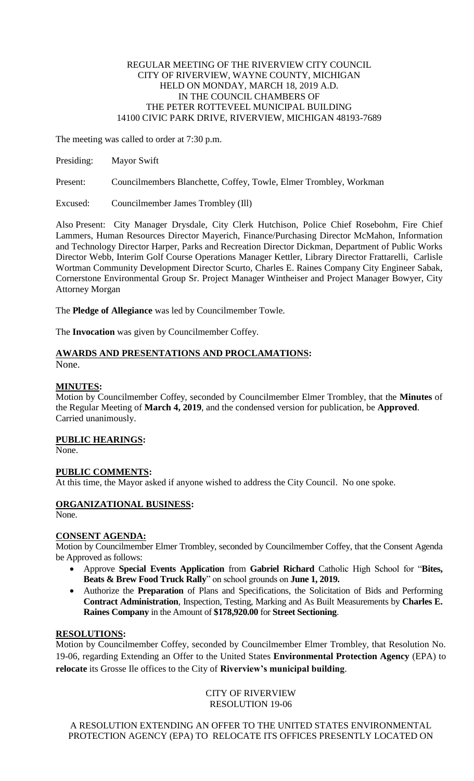## REGULAR MEETING OF THE RIVERVIEW CITY COUNCIL CITY OF RIVERVIEW, WAYNE COUNTY, MICHIGAN HELD ON MONDAY, MARCH 18, 2019 A.D. IN THE COUNCIL CHAMBERS OF THE PETER ROTTEVEEL MUNICIPAL BUILDING 14100 CIVIC PARK DRIVE, RIVERVIEW, MICHIGAN 48193-7689

The meeting was called to order at 7:30 p.m.

Presiding: Mayor Swift

Present: Councilmembers Blanchette, Coffey, Towle, Elmer Trombley, Workman

Excused: Councilmember James Trombley (Ill)

Also Present: City Manager Drysdale, City Clerk Hutchison, Police Chief Rosebohm, Fire Chief Lammers, Human Resources Director Mayerich, Finance/Purchasing Director McMahon, Information and Technology Director Harper, Parks and Recreation Director Dickman, Department of Public Works Director Webb, Interim Golf Course Operations Manager Kettler, Library Director Frattarelli, Carlisle Wortman Community Development Director Scurto, Charles E. Raines Company City Engineer Sabak, Cornerstone Environmental Group Sr. Project Manager Wintheiser and Project Manager Bowyer, City Attorney Morgan

The **Pledge of Allegiance** was led by Councilmember Towle.

The **Invocation** was given by Councilmember Coffey.

# **AWARDS AND PRESENTATIONS AND PROCLAMATIONS:**

None.

# **MINUTES:**

Motion by Councilmember Coffey, seconded by Councilmember Elmer Trombley, that the **Minutes** of the Regular Meeting of **March 4, 2019**, and the condensed version for publication, be **Approved**. Carried unanimously.

**PUBLIC HEARINGS:**

None.

# **PUBLIC COMMENTS:**

At this time, the Mayor asked if anyone wished to address the City Council. No one spoke.

# **ORGANIZATIONAL BUSINESS:**

None.

# **CONSENT AGENDA:**

Motion by Councilmember Elmer Trombley, seconded by Councilmember Coffey, that the Consent Agenda be Approved as follows:

- Approve **Special Events Application** from **Gabriel Richard** Catholic High School for "**Bites, Beats & Brew Food Truck Rally**" on school grounds on **June 1, 2019.**
- Authorize the **Preparation** of Plans and Specifications, the Solicitation of Bids and Performing **Contract Administration**, Inspection, Testing, Marking and As Built Measurements by **Charles E. Raines Company** in the Amount of **\$178,920.00** for **Street Sectioning**.

# **RESOLUTIONS:**

Motion by Councilmember Coffey, seconded by Councilmember Elmer Trombley, that Resolution No. 19-06, regarding Extending an Offer to the United States **Environmental Protection Agency** (EPA) to **relocate** its Grosse Ile offices to the City of **Riverview's municipal building**.

> CITY OF RIVERVIEW RESOLUTION 19-06

A RESOLUTION EXTENDING AN OFFER TO THE UNITED STATES ENVIRONMENTAL PROTECTION AGENCY (EPA) TO RELOCATE ITS OFFICES PRESENTLY LOCATED ON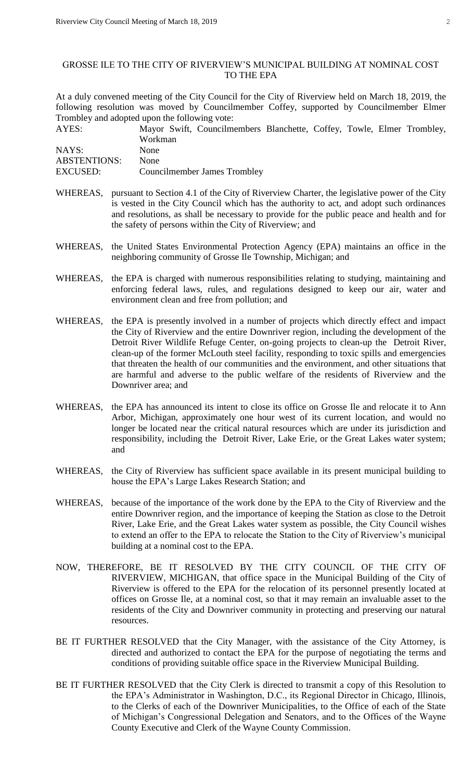## GROSSE ILE TO THE CITY OF RIVERVIEW'S MUNICIPAL BUILDING AT NOMINAL COST TO THE EPA

At a duly convened meeting of the City Council for the City of Riverview held on March 18, 2019, the following resolution was moved by Councilmember Coffey, supported by Councilmember Elmer Trombley and adopted upon the following vote:

| AYES:               |             | Mayor Swift, Councilmembers Blanchette, Coffey, Towle, Elmer Trombley, |  |  |  |
|---------------------|-------------|------------------------------------------------------------------------|--|--|--|
|                     | Workman     |                                                                        |  |  |  |
| NAYS:               | <b>None</b> |                                                                        |  |  |  |
| <b>ABSTENTIONS:</b> | <b>None</b> |                                                                        |  |  |  |
| EXCUSED:            |             | Councilmember James Trombley                                           |  |  |  |

- WHEREAS, pursuant to Section 4.1 of the City of Riverview Charter, the legislative power of the City is vested in the City Council which has the authority to act, and adopt such ordinances and resolutions, as shall be necessary to provide for the public peace and health and for the safety of persons within the City of Riverview; and
- WHEREAS, the United States Environmental Protection Agency (EPA) maintains an office in the neighboring community of Grosse Ile Township, Michigan; and
- WHEREAS, the EPA is charged with numerous responsibilities relating to studying, maintaining and enforcing federal laws, rules, and regulations designed to keep our air, water and environment clean and free from pollution; and
- WHEREAS, the EPA is presently involved in a number of projects which directly effect and impact the City of Riverview and the entire Downriver region, including the development of the Detroit River Wildlife Refuge Center, on-going projects to clean-up the Detroit River, clean-up of the former McLouth steel facility, responding to toxic spills and emergencies that threaten the health of our communities and the environment, and other situations that are harmful and adverse to the public welfare of the residents of Riverview and the Downriver area; and
- WHEREAS, the EPA has announced its intent to close its office on Grosse Ile and relocate it to Ann Arbor, Michigan, approximately one hour west of its current location, and would no longer be located near the critical natural resources which are under its jurisdiction and responsibility, including the Detroit River, Lake Erie, or the Great Lakes water system; and
- WHEREAS, the City of Riverview has sufficient space available in its present municipal building to house the EPA's Large Lakes Research Station; and
- WHEREAS, because of the importance of the work done by the EPA to the City of Riverview and the entire Downriver region, and the importance of keeping the Station as close to the Detroit River, Lake Erie, and the Great Lakes water system as possible, the City Council wishes to extend an offer to the EPA to relocate the Station to the City of Riverview's municipal building at a nominal cost to the EPA.
- NOW, THEREFORE, BE IT RESOLVED BY THE CITY COUNCIL OF THE CITY OF RIVERVIEW, MICHIGAN, that office space in the Municipal Building of the City of Riverview is offered to the EPA for the relocation of its personnel presently located at offices on Grosse Ile, at a nominal cost, so that it may remain an invaluable asset to the residents of the City and Downriver community in protecting and preserving our natural resources.
- BE IT FURTHER RESOLVED that the City Manager, with the assistance of the City Attorney, is directed and authorized to contact the EPA for the purpose of negotiating the terms and conditions of providing suitable office space in the Riverview Municipal Building.
- BE IT FURTHER RESOLVED that the City Clerk is directed to transmit a copy of this Resolution to the EPA's Administrator in Washington, D.C., its Regional Director in Chicago, Illinois, to the Clerks of each of the Downriver Municipalities, to the Office of each of the State of Michigan's Congressional Delegation and Senators, and to the Offices of the Wayne County Executive and Clerk of the Wayne County Commission.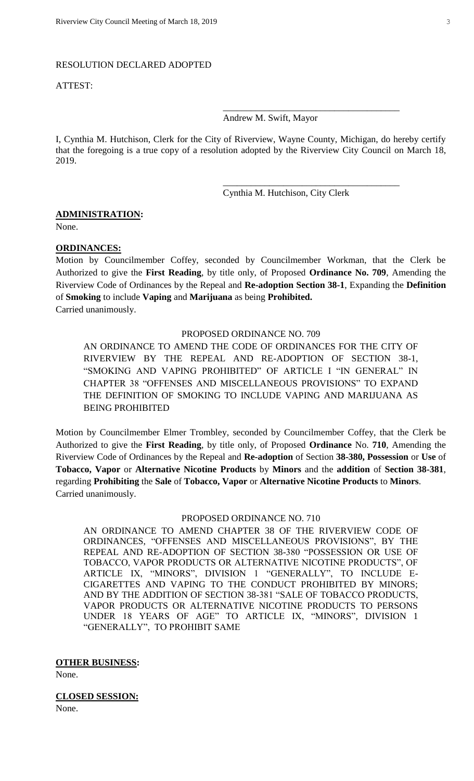#### RESOLUTION DECLARED ADOPTED

#### ATTEST:

Andrew M. Swift, Mayor

I, Cynthia M. Hutchison, Clerk for the City of Riverview, Wayne County, Michigan, do hereby certify that the foregoing is a true copy of a resolution adopted by the Riverview City Council on March 18, 2019.

Cynthia M. Hutchison, City Clerk

\_\_\_\_\_\_\_\_\_\_\_\_\_\_\_\_\_\_\_\_\_\_\_\_\_\_\_\_\_\_\_\_\_\_\_\_\_\_

\_\_\_\_\_\_\_\_\_\_\_\_\_\_\_\_\_\_\_\_\_\_\_\_\_\_\_\_\_\_\_\_\_\_\_\_\_\_

### **ADMINISTRATION:**

None.

# **ORDINANCES:**

Motion by Councilmember Coffey, seconded by Councilmember Workman, that the Clerk be Authorized to give the **First Reading**, by title only, of Proposed **Ordinance No. 709**, Amending the Riverview Code of Ordinances by the Repeal and **Re-adoption Section 38-1**, Expanding the **Definition**  of **Smoking** to include **Vaping** and **Marijuana** as being **Prohibited.** Carried unanimously.

#### PROPOSED ORDINANCE NO. 709

AN ORDINANCE TO AMEND THE CODE OF ORDINANCES FOR THE CITY OF RIVERVIEW BY THE REPEAL AND RE-ADOPTION OF SECTION 38-1, "SMOKING AND VAPING PROHIBITED" OF ARTICLE I "IN GENERAL" IN CHAPTER 38 "OFFENSES AND MISCELLANEOUS PROVISIONS" TO EXPAND THE DEFINITION OF SMOKING TO INCLUDE VAPING AND MARIJUANA AS BEING PROHIBITED

Motion by Councilmember Elmer Trombley, seconded by Councilmember Coffey, that the Clerk be Authorized to give the **First Reading**, by title only, of Proposed **Ordinance** No. **710**, Amending the Riverview Code of Ordinances by the Repeal and **Re-adoption** of Section **38-380, Possession** or **Use** of **Tobacco, Vapor** or **Alternative Nicotine Products** by **Minors** and the **addition** of **Section 38-381**, regarding **Prohibiting** the **Sale** of **Tobacco, Vapor** or **Alternative Nicotine Products** to **Minors**. Carried unanimously.

# PROPOSED ORDINANCE NO. 710

AN ORDINANCE TO AMEND CHAPTER 38 OF THE RIVERVIEW CODE OF ORDINANCES, "OFFENSES AND MISCELLANEOUS PROVISIONS", BY THE REPEAL AND RE-ADOPTION OF SECTION 38-380 "POSSESSION OR USE OF TOBACCO, VAPOR PRODUCTS OR ALTERNATIVE NICOTINE PRODUCTS", OF ARTICLE IX, "MINORS", DIVISION 1 "GENERALLY", TO INCLUDE E-CIGARETTES AND VAPING TO THE CONDUCT PROHIBITED BY MINORS; AND BY THE ADDITION OF SECTION 38-381 "SALE OF TOBACCO PRODUCTS, VAPOR PRODUCTS OR ALTERNATIVE NICOTINE PRODUCTS TO PERSONS UNDER 18 YEARS OF AGE" TO ARTICLE IX, "MINORS", DIVISION 1 "GENERALLY", TO PROHIBIT SAME

**OTHER BUSINESS:**

None.

**CLOSED SESSION:** None.